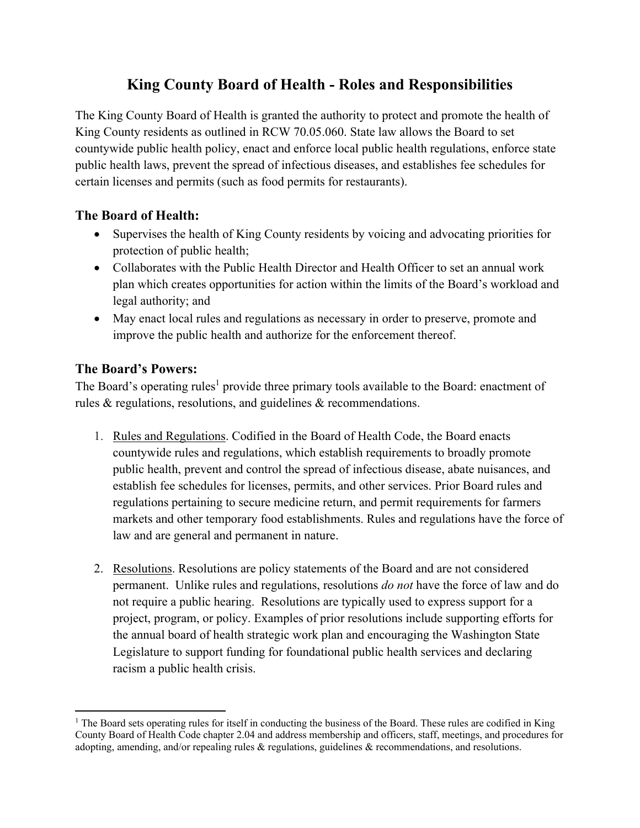## **King County Board of Health - Roles and Responsibilities**

The King County Board of Health is granted the authority to protect and promote the health of King County residents as outlined in RCW 70.05.060. State law allows the Board to set countywide public health policy, enact and enforce local public health regulations, enforce state public health laws, prevent the spread of infectious diseases, and establishes fee schedules for certain licenses and permits (such as food permits for restaurants).

## **The Board of Health:**

- Supervises the health of King County residents by voicing and advocating priorities for protection of public health;
- Collaborates with the Public Health Director and Health Officer to set an annual work plan which creates opportunities for action within the limits of the Board's workload and legal authority; and
- May enact local rules and regulations as necessary in order to preserve, promote and improve the public health and authorize for the enforcement thereof.

## **The Board's Powers:**

The Board's operating rules<sup>1</sup> provide three primary tools available to the Board: enactment of rules & regulations, resolutions, and guidelines & recommendations.

- 1. Rules and Regulations. Codified in the Board of Health Code, the Board enacts countywide rules and regulations, which establish requirements to broadly promote public health, prevent and control the spread of infectious disease, abate nuisances, and establish fee schedules for licenses, permits, and other services. Prior Board rules and regulations pertaining to secure medicine return, and permit requirements for farmers markets and other temporary food establishments. Rules and regulations have the force of law and are general and permanent in nature.
- 2. Resolutions. Resolutions are policy statements of the Board and are not considered permanent. Unlike rules and regulations, resolutions *do not* have the force of law and do not require a public hearing. Resolutions are typically used to express support for a project, program, or policy. Examples of prior resolutions include supporting efforts for the annual board of health strategic work plan and encouraging the Washington State Legislature to support funding for foundational public health services and declaring racism a public health crisis.

<sup>&</sup>lt;sup>1</sup> The Board sets operating rules for itself in conducting the business of the Board. These rules are codified in King County Board of Health Code chapter 2.04 and address membership and officers, staff, meetings, and procedures for adopting, amending, and/or repealing rules & regulations, guidelines & recommendations, and resolutions.